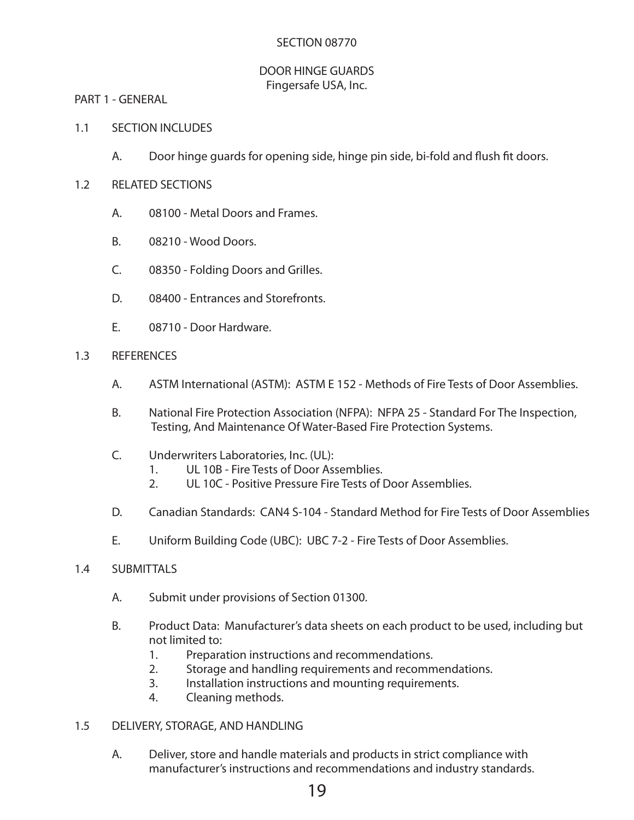#### SECTION 08770

#### DOOR HINGE GUARDS Fingersafe USA, Inc.

PART 1 - GENERAL

- 1.1 SECTION INCLUDES
	- A. Door hinge guards for opening side, hinge pin side, bi-fold and fush ft doors.
- 1.2 RELATED SECTIONS
	- A. 08100 Metal Doors and Frames.
	- B. 08210 Wood Doors.
	- C. 08350 Folding Doors and Grilles.
	- D. 08400 Entrances and Storefronts.
	- E. 08710 Door Hardware.
- 1.3 REFERENCES
	- A. ASTM International (ASTM): ASTM E 152 Methods of Fire Tests of Door Assemblies.
	- B. National Fire Protection Association (NFPA): NFPA 25 Standard For The Inspection, Testing, And Maintenance Of Water-Based Fire Protection Systems.
	- C. Underwriters Laboratories, Inc. (UL):
		- 1. UL 10B Fire Tests of Door Assemblies.
		- 2. UL 10C Positive Pressure Fire Tests of Door Assemblies.
	- D. Canadian Standards: CAN4 S-104 Standard Method for Fire Tests of Door Assemblies
	- E. Uniform Building Code (UBC): UBC 7-2 Fire Tests of Door Assemblies.

#### 1.4 SUBMITTALS

- A. Submit under provisions of Section 01300.
- B. Product Data: Manufacturer's data sheets on each product to be used, including but not limited to:
	- 1. Preparation instructions and recommendations.
	- 2. Storage and handling requirements and recommendations.
	- 3. Installation instructions and mounting requirements.
	- 4. Cleaning methods.
- 1.5 DELIVERY, STORAGE, AND HANDLING
	- A. Deliver, store and handle materials and products in strict compliance with manufacturer's instructions and recommendations and industry standards.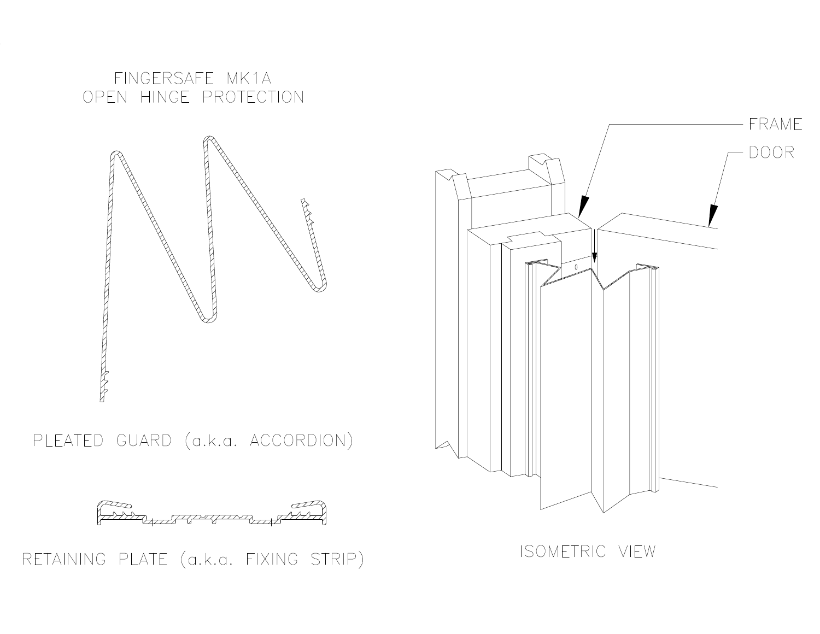FINGERSAFE MK1A OPEN HINGE PROTECTION



PLEATED GUARD (a.k.a. ACCORDION)



RETAINING PLATE (a.k.a. FIXING STRIP)

ISOMETRIC VIEW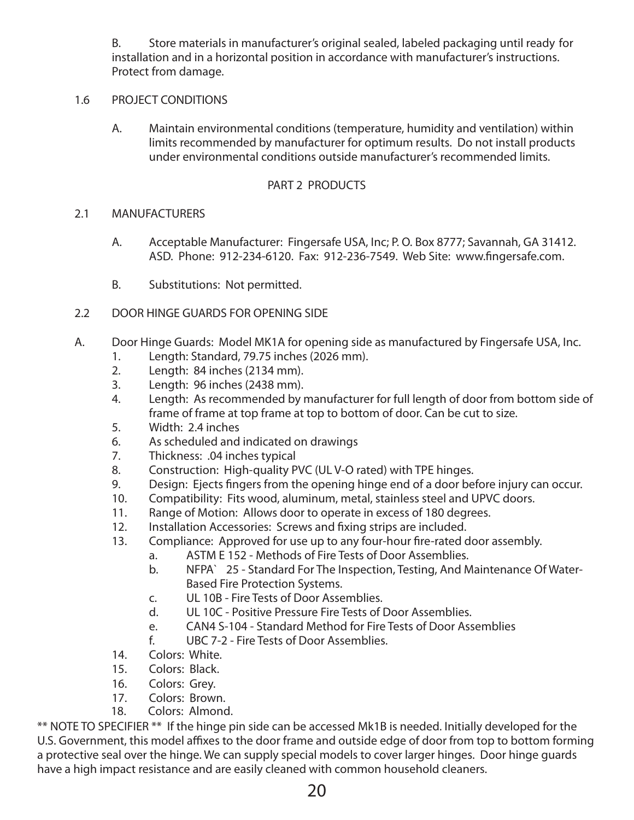B. Store materials in manufacturer's original sealed, labeled packaging until ready for installation and in a horizontal position in accordance with manufacturer's instructions. Protect from damage.

## 1.6 PROJECT CONDITIONS

A. Maintain environmental conditions (temperature, humidity and ventilation) within limits recommended by manufacturer for optimum results. Do not install products under environmental conditions outside manufacturer's recommended limits.

## PART 2 PRODUCTS

#### 2.1 MANUFACTURERS

- A. Acceptable Manufacturer: Fingersafe USA, Inc; P. O. Box 8777; Savannah, GA 31412. ASD. Phone: 912-234-6120. Fax: 912-236-7549. Web Site: www.fngersafe.com.
- B. Substitutions: Not permitted.
- 2.2 DOOR HINGE GUARDS FOR OPENING SIDE
- A. Door Hinge Guards: Model MK1A for opening side as manufactured by Fingersafe USA, Inc.
	- 1. Length: Standard, 79.75 inches (2026 mm).
	- 2. Length: 84 inches (2134 mm).
	- 3. Length: 96 inches (2438 mm).
	- 4. Length: As recommended by manufacturer for full length of door from bottom side of frame of frame at top frame at top to bottom of door. Can be cut to size.
	- 5. Width: 2.4 inches
	- 6. As scheduled and indicated on drawings
	- 7. Thickness: .04 inches typical
	- 8. Construction: High-quality PVC (UL V-O rated) with TPE hinges.
	- 9. Design: Ejects fngers from the opening hinge end of a door before injury can occur.
	- 10. Compatibility: Fits wood, aluminum, metal, stainless steel and UPVC doors.
	- 11. Range of Motion: Allows door to operate in excess of 180 degrees.
	- 12. Installation Accessories: Screws and fxing strips are included.
	- 13. Compliance: Approved for use up to any four-hour fre-rated door assembly.
		- a. ASTM E 152 Methods of Fire Tests of Door Assemblies.
		- b. NFPA` 25 Standard For The Inspection, Testing, And Maintenance Of Water-Based Fire Protection Systems.
		- c. UL 10B Fire Tests of Door Assemblies.
		- d. UL 10C Positive Pressure Fire Tests of Door Assemblies.
		- e. CAN4 S-104 Standard Method for Fire Tests of Door Assemblies
		- f. UBC 7-2 Fire Tests of Door Assemblies.
	- 14. Colors: White.
	- 15. Colors: Black.
	- 16. Colors: Grey.
	- 17. Colors: Brown.
	- 18. Colors: Almond.

\*\* NOTE TO SPECIFIER \*\* If the hinge pin side can be accessed Mk1B is needed. Initially developed for the U.S. Government, this model affixes to the door frame and outside edge of door from top to bottom forming a protective seal over the hinge. We can supply special models to cover larger hinges. Door hinge guards have a high impact resistance and are easily cleaned with common household cleaners.

20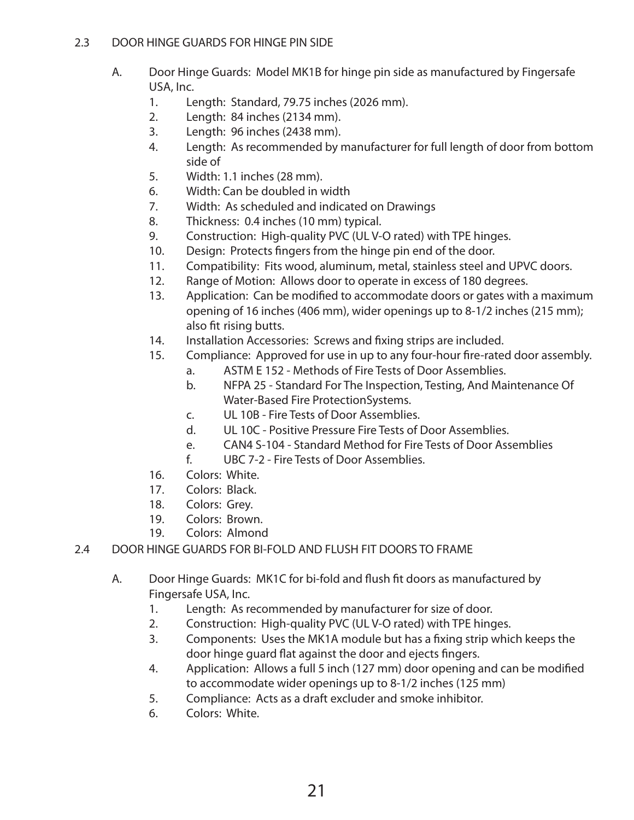# 2.3 DOOR HINGE GUARDS FOR HINGE PIN SIDE

- A. Door Hinge Guards: Model MK1B for hinge pin side as manufactured by Fingersafe USA, Inc.
	- 1. Length: Standard, 79.75 inches (2026 mm).
	- 2. Length: 84 inches (2134 mm).
	- 3. Length: 96 inches (2438 mm).
	- 4. Length: As recommended by manufacturer for full length of door from bottom side of
	- 5. Width: 1.1 inches (28 mm).
	- 6. Width: Can be doubled in width
	- 7. Width: As scheduled and indicated on Drawings
	- 8. Thickness: 0.4 inches (10 mm) typical.
	- 9. Construction: High-quality PVC (UL V-O rated) with TPE hinges.
	- 10. Design: Protects fngers from the hinge pin end of the door.
	- 11. Compatibility: Fits wood, aluminum, metal, stainless steel and UPVC doors.
	- 12. Range of Motion: Allows door to operate in excess of 180 degrees.
	- 13. Application: Can be modifed to accommodate doors or gates with a maximum opening of 16 inches (406 mm), wider openings up to 8-1/2 inches (215 mm); also ft rising butts.
	- 14. Installation Accessories: Screws and fxing strips are included.
	- 15. Compliance: Approved for use in up to any four-hour fre-rated door assembly.
		- a. ASTM E 152 Methods of Fire Tests of Door Assemblies.
			- b. NFPA 25 Standard For The Inspection, Testing, And Maintenance Of Water-Based Fire ProtectionSystems.
			- c. UL 10B Fire Tests of Door Assemblies.
			- d. UL 10C Positive Pressure Fire Tests of Door Assemblies.
			- e. CAN4 S-104 Standard Method for Fire Tests of Door Assemblies
			- f. UBC 7-2 Fire Tests of Door Assemblies.
	- 16. Colors: White.
	- 17. Colors: Black.
	- 18. Colors: Grey.
	- 19. Colors: Brown.
	- 19. Colors: Almond
- 2.4 DOOR HINGE GUARDS FOR BI-FOLD AND FLUSH FIT DOORS TO FRAME
	- A. Door Hinge Guards: MK1C for bi-fold and fush ft doors as manufactured by Fingersafe USA, Inc.
		- 1. Length: As recommended by manufacturer for size of door.
		- 2. Construction: High-quality PVC (UL V-O rated) with TPE hinges.
		- 3. Components: Uses the MK1A module but has a fxing strip which keeps the door hinge guard fat against the door and ejects fngers.
		- 4. Application: Allows a full 5 inch (127 mm) door opening and can be modifed to accommodate wider openings up to 8-1/2 inches (125 mm)
		- 5. Compliance: Acts as a draft excluder and smoke inhibitor.
		- 6. Colors: White.